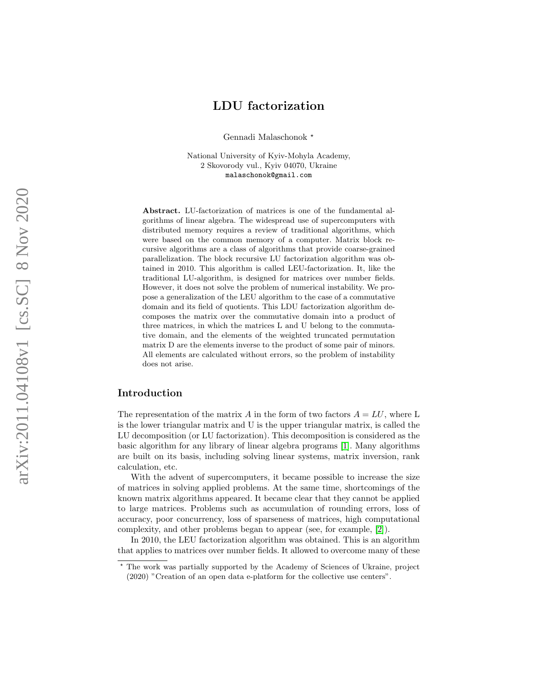# LDU factorization

Gennadi Malaschonok $^\star$ 

National University of Kyiv-Mohyla Academy, 2 Skovorody vul., Kyiv 04070, Ukraine malaschonok@gmail.com

Abstract. LU-factorization of matrices is one of the fundamental algorithms of linear algebra. The widespread use of supercomputers with distributed memory requires a review of traditional algorithms, which were based on the common memory of a computer. Matrix block recursive algorithms are a class of algorithms that provide coarse-grained parallelization. The block recursive LU factorization algorithm was obtained in 2010. This algorithm is called LEU-factorization. It, like the traditional LU-algorithm, is designed for matrices over number fields. However, it does not solve the problem of numerical instability. We propose a generalization of the LEU algorithm to the case of a commutative domain and its field of quotients. This LDU factorization algorithm decomposes the matrix over the commutative domain into a product of three matrices, in which the matrices L and U belong to the commutative domain, and the elements of the weighted truncated permutation matrix D are the elements inverse to the product of some pair of minors. All elements are calculated without errors, so the problem of instability does not arise.

## Introduction

The representation of the matrix A in the form of two factors  $A = LU$ , where L is the lower triangular matrix and U is the upper triangular matrix, is called the LU decomposition (or LU factorization). This decomposition is considered as the basic algorithm for any library of linear algebra programs [\[1\]](#page-14-0). Many algorithms are built on its basis, including solving linear systems, matrix inversion, rank calculation, etc.

With the advent of supercomputers, it became possible to increase the size of matrices in solving applied problems. At the same time, shortcomings of the known matrix algorithms appeared. It became clear that they cannot be applied to large matrices. Problems such as accumulation of rounding errors, loss of accuracy, poor concurrency, loss of sparseness of matrices, high computational complexity, and other problems began to appear (see, for example, [\[2\]](#page-15-0)).

In 2010, the LEU factorization algorithm was obtained. This is an algorithm that applies to matrices over number fields. It allowed to overcome many of these

<sup>?</sup> The work was partially supported by the Academy of Sciences of Ukraine, project (2020) "Creation of an open data e-platform for the collective use centers".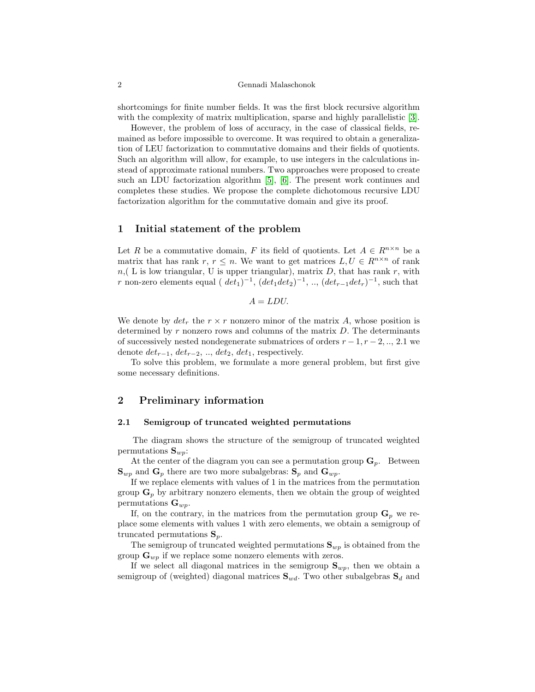shortcomings for finite number fields. It was the first block recursive algorithm with the complexity of matrix multiplication, sparse and highly parallelistic [\[3\]](#page-15-1).

However, the problem of loss of accuracy, in the case of classical fields, remained as before impossible to overcome. It was required to obtain a generalization of LEU factorization to commutative domains and their fields of quotients. Such an algorithm will allow, for example, to use integers in the calculations instead of approximate rational numbers. Two approaches were proposed to create such an LDU factorization algorithm [\[5\]](#page-15-2), [\[6\]](#page-15-3). The present work continues and completes these studies. We propose the complete dichotomous recursive LDU factorization algorithm for the commutative domain and give its proof.

### 1 Initial statement of the problem

Let R be a commutative domain, F its field of quotients. Let  $A \in R^{n \times n}$  be a matrix that has rank r,  $r \leq n$ . We want to get matrices  $L, U \in R^{n \times n}$  of rank  $n,( L is low triangular, U is upper triangular), matrix D, that has rank r, with$ r non-zero elements equal ( $det_1$ )<sup>-1</sup>,  $(det_1det_2)$ <sup>-1</sup>, ..,  $(det_{r-1}det_r)$ <sup>-1</sup>, such that

$$
A = LDU.
$$

We denote by  $det_r$  the  $r \times r$  nonzero minor of the matrix A, whose position is determined by  $r$  nonzero rows and columns of the matrix  $D$ . The determinants of successively nested nondegenerate submatrices of orders  $r-1, r-2, \ldots, 2.1$  we denote  $det_{r-1}$ ,  $det_{r-2}$ , ..,  $det_2$ ,  $det_1$ , respectively.

To solve this problem, we formulate a more general problem, but first give some necessary definitions.

## 2 Preliminary information

#### 2.1 Semigroup of truncated weighted permutations

The diagram shows the structure of the semigroup of truncated weighted permutations  $S_{wp}$ :

At the center of the diagram you can see a permutation group  $\mathbf{G}_p$ . Between  $\mathbf{S}_{w\nu}$  and  $\mathbf{G}_{p}$  there are two more subalgebras:  $\mathbf{S}_{p}$  and  $\mathbf{G}_{w\nu}$ .

If we replace elements with values of 1 in the matrices from the permutation group  $\mathbf{G}_p$  by arbitrary nonzero elements, then we obtain the group of weighted permutations  $\mathbf{G}_{wp}$ .

If, on the contrary, in the matrices from the permutation group  $\mathbf{G}_p$  we replace some elements with values 1 with zero elements, we obtain a semigroup of truncated permutations  $S_p$ .

The semigroup of truncated weighted permutations  $S_{wp}$  is obtained from the group  $\mathbf{G}_{wp}$  if we replace some nonzero elements with zeros.

If we select all diagonal matrices in the semigroup  $S_{wp}$ , then we obtain a semigroup of (weighted) diagonal matrices  $S_{wd}$ . Two other subalgebras  $S_d$  and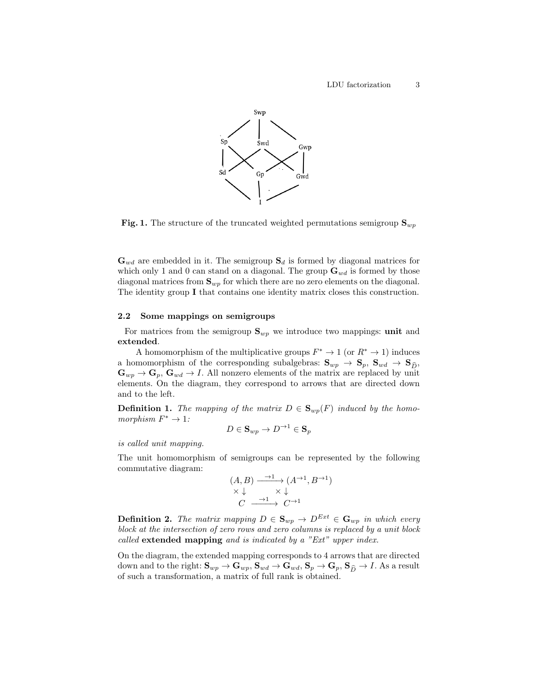

**Fig. 1.** The structure of the truncated weighted permutations semigroup  $\mathbf{S}_{wp}$ 

 $\mathbf{G}_{wd}$  are embedded in it. The semigroup  $\mathbf{S}_d$  is formed by diagonal matrices for which only 1 and 0 can stand on a diagonal. The group  $\mathbf{G}_{wd}$  is formed by those diagonal matrices from  $S_{wp}$  for which there are no zero elements on the diagonal. The identity group I that contains one identity matrix closes this construction.

#### 2.2 Some mappings on semigroups

For matrices from the semigroup  $S_{wp}$  we introduce two mappings: unit and extended.

A homomorphism of the multiplicative groups  $F^* \to 1$  (or  $R^* \to 1$ ) induces a homomorphism of the corresponding subalgebras:  $\mathbf{S}_{wp} \to \mathbf{S}_p$ ,  $\mathbf{S}_{wd} \to \mathbf{S}_{\widehat{D}}$ ,  $\mathbf{G}_{wp} \to \mathbf{G}_p$ ,  $\mathbf{G}_{wd} \to I$ . All nonzero elements of the matrix are replaced by unit elements. On the diagram, they correspond to arrows that are directed down and to the left.

**Definition 1.** The mapping of the matrix  $D \in \mathbf{S}_{wp}(F)$  induced by the homomorphism  $F^* \to 1$ :

$$
D\in \mathbf{S}_{wp}\to D^{\rightarrow 1}\in \mathbf{S}_p
$$

is called unit mapping.

The unit homomorphism of semigroups can be represented by the following commutative diagram:

$$
(A, B) \xrightarrow{\rightarrow 1} (A^{\rightarrow 1}, B^{\rightarrow 1})
$$
  

$$
\times \downarrow \qquad \times \downarrow
$$
  

$$
C \xrightarrow{\rightarrow 1} C^{\rightarrow 1}
$$

**Definition 2.** The matrix mapping  $D \in \mathbf{S}_{wp} \to D^{Ext} \in \mathbf{G}_{wp}$  in which every block at the intersection of zero rows and zero columns is replaced by a unit block called extended mapping and is indicated by a "Ext" upper index.

On the diagram, the extended mapping corresponds to 4 arrows that are directed down and to the right:  $S_{wp} \to G_{wp}$ ,  $S_{wd} \to G_{wd}$ ,  $S_p \to G_p$ ,  $S_{\widehat{D}} \to I$ . As a result of such a transformation, a matrix of full rank is obtained.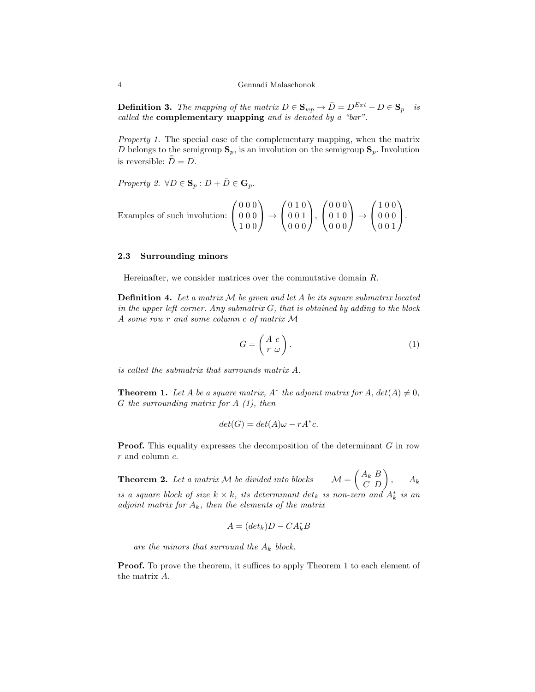**Definition 3.** The mapping of the matrix  $D \in \mathbf{S}_{wp} \to \overline{D} = D^{Ext} - D \in \mathbf{S}_p$  is called the complementary mapping and is denoted by a "bar".

Property 1. The special case of the complementary mapping, when the matrix D belongs to the semigroup  $\mathbf{S}_p$ , is an involution on the semigroup  $\mathbf{S}_p$ . Involution is reversible:  $\bar{D} = D$ .

Property 2.  $\forall D \in \mathbf{S}_p : D + \overline{D} \in \mathbf{G}_p$ .

Examples of such involution: 
$$
\begin{pmatrix} 0 & 0 & 0 \\ 0 & 0 & 0 \\ 1 & 0 & 0 \end{pmatrix} \rightarrow \begin{pmatrix} 0 & 1 & 0 \\ 0 & 0 & 1 \\ 0 & 0 & 0 \end{pmatrix}, \begin{pmatrix} 0 & 0 & 0 \\ 0 & 1 & 0 \\ 0 & 0 & 0 \end{pmatrix} \rightarrow \begin{pmatrix} 1 & 0 & 0 \\ 0 & 0 & 0 \\ 0 & 0 & 1 \end{pmatrix}.
$$

#### 2.3 Surrounding minors

Hereinafter, we consider matrices over the commutative domain R.

**Definition 4.** Let a matrix  $M$  be given and let  $A$  be its square submatrix located in the upper left corner. Any submatrix  $G$ , that is obtained by adding to the block A some row r and some column c of matrix M

$$
G = \begin{pmatrix} A & c \\ r & \omega \end{pmatrix} . \tag{1}
$$

is called the submatrix that surrounds matrix A.

**Theorem 1.** Let A be a square matrix,  $A^*$  the adjoint matrix for  $A$ ,  $det(A) \neq 0$ ,  $G$  the surrounding matrix for  $A(1)$ , then

$$
det(G) = det(A)\omega - rA^*c.
$$

**Proof.** This equality expresses the decomposition of the determinant  $G$  in row r and column c.

**Theorem 2.** Let a matrix M be divided into blocks  $\mathcal{M} = \begin{pmatrix} A_k & B \\ C & D \end{pmatrix}$ ,  $A_k$ is a square block of size  $k \times k$ , its determinant  $det_k$  is non-zero and  $A_k^*$  is an adjoint matrix for  $A_k$ , then the elements of the matrix

$$
A = (det_k)D - CA_k^*B
$$

are the minors that surround the  $A_k$  block.

Proof. To prove the theorem, it suffices to apply Theorem 1 to each element of the matrix A.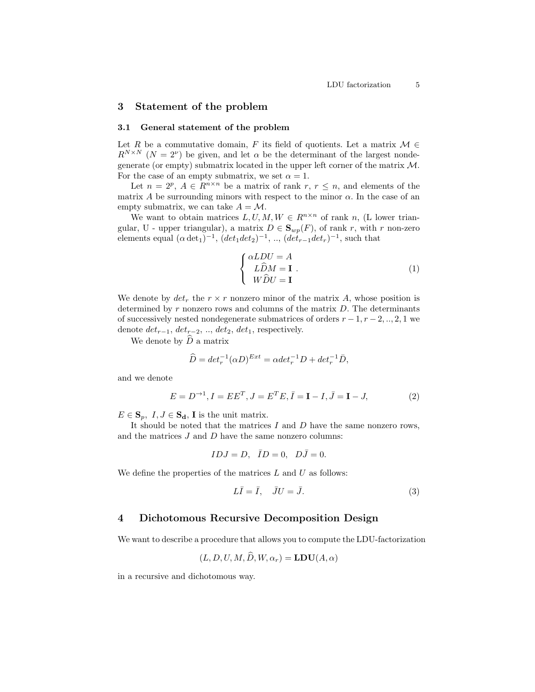## 3 Statement of the problem

#### 3.1 General statement of the problem

Let R be a commutative domain, F its field of quotients. Let a matrix  $M \in$  $R^{N\times N}$   $(N = 2^{\nu})$  be given, and let  $\alpha$  be the determinant of the largest nondegenerate (or empty) submatrix located in the upper left corner of the matrix  $M$ . For the case of an empty submatrix, we set  $\alpha = 1$ .

Let  $n = 2^p$ ,  $A \in R^{n \times n}$  be a matrix of rank  $r, r \leq n$ , and elements of the matrix A be surrounding minors with respect to the minor  $\alpha$ . In the case of an empty submatrix, we can take  $A = M$ .

We want to obtain matrices  $L, U, M, W \in R^{n \times n}$  of rank n, (L lower triangular, U - upper triangular), a matrix  $D \in \mathbf{S}_{wp}(F)$ , of rank r, with r non-zero elements equal  $(\alpha \det_1)^{-1}$ ,  $(det_1 det_2)^{-1}$ , ..,  $(det_{r-1} det_r)^{-1}$ , such that

$$
\begin{cases}\n\alpha LDU = A \\
L\widehat{D}M = \mathbf{I} \\
W\widehat{D}U = \mathbf{I}\n\end{cases} (1)
$$

We denote by  $det_r$  the  $r \times r$  nonzero minor of the matrix A, whose position is determined by  $r$  nonzero rows and columns of the matrix  $D$ . The determinants of successively nested nondegenerate submatrices of orders  $r-1, r-2, ..., 2, 1$  we denote  $det_{r-1}$ ,  $det_{r-2}$ , ..,  $det_2$ ,  $det_1$ , respectively.

We denote by  $\widehat{D}$  a matrix

$$
\widehat{D} = det_r^{-1}(\alpha D)^{Ext} = \alpha det_r^{-1}D + det_r^{-1}\bar{D},
$$

and we denote

$$
E = D^{-1}, I = EE^{T}, J = E^{T}E, \bar{I} = I - I, \bar{J} = I - J,
$$
\n(2)

 $E \in \mathbf{S}_p$ ,  $I, J \in \mathbf{S}_d$ , **I** is the unit matrix.

It should be noted that the matrices  $I$  and  $D$  have the same nonzero rows, and the matrices  $J$  and  $D$  have the same nonzero columns:

$$
IDJ = D, \quad \bar{I}D = 0, \quad D\bar{J} = 0.
$$

We define the properties of the matrices  $L$  and  $U$  as follows:

$$
L\overline{I} = \overline{I}, \quad \overline{J}U = \overline{J}.
$$
 (3)

## 4 Dichotomous Recursive Decomposition Design

We want to describe a procedure that allows you to compute the LDU-factorization

$$
(L, D, U, M, D, W, \alpha_r) = \mathbf{LDU}(A, \alpha)
$$

in a recursive and dichotomous way.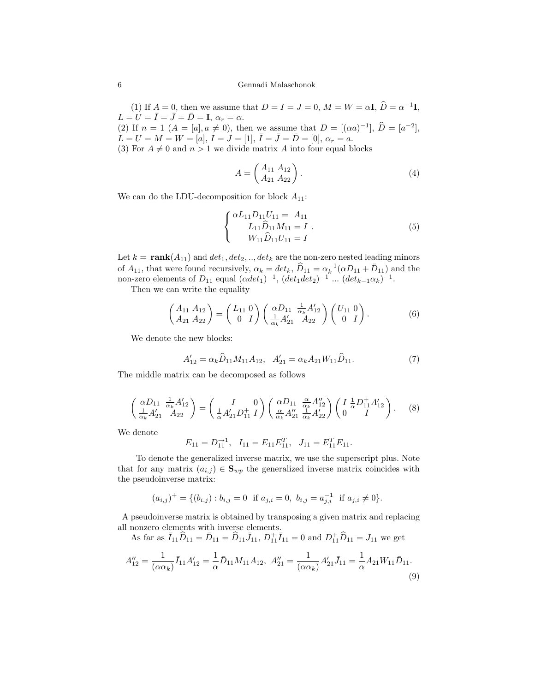(1) If  $A = 0$ , then we assume that  $D = I = J = 0$ ,  $M = W = \alpha I$ ,  $\hat{D} = \alpha^{-1}I$ ,  $L = U = \overline{I} = \overline{J} = \overline{D} = \mathbf{I}, \alpha_r = \alpha.$ (2) If  $n = 1$   $(A = [a], a \neq 0)$ , then we assume that  $D = [(\alpha a)^{-1}], \hat{D} = [a^{-2}],$  $L = U = M = W = [a], I = J = [1], \overline{I} = \overline{D} = [0], \alpha_r = a.$ 

(3) For  $A \neq 0$  and  $n > 1$  we divide matrix A into four equal blocks

$$
A = \begin{pmatrix} A_{11} & A_{12} \\ A_{21} & A_{22} \end{pmatrix} . \tag{4}
$$

We can do the LDU-decomposition for block  $A_{11}$ :

$$
\begin{cases} \alpha L_{11} D_{11} U_{11} = A_{11} \\ L_{11} \widehat{D}_{11} M_{11} = I \\ W_{11} \widehat{D}_{11} U_{11} = I \end{cases} (5)
$$

Let  $k = \text{rank}(A_{11})$  and  $det_1, det_2, ..., det_k$  are the non-zero nested leading minors of  $A_{11}$ , that were found recursively,  $\alpha_k = det_k$ ,  $\widehat{D}_{11} = \alpha_k^{-1} (\alpha D_{11} + \overline{D}_{11})$  and the non-zero elements of  $D_{11}$  equal  $(\alpha det_1)^{-1}$ ,  $(det_1 det_2)^{-1}$  ...  $(det_{k-1} \alpha_k)^{-1}$ .

Then we can write the equality

$$
\begin{pmatrix} A_{11} & A_{12} \\ A_{21} & A_{22} \end{pmatrix} = \begin{pmatrix} L_{11} & 0 \\ 0 & I \end{pmatrix} \begin{pmatrix} \alpha D_{11} & \frac{1}{\alpha_k} A'_{12} \\ \frac{1}{\alpha_k} A'_{21} & A_{22} \end{pmatrix} \begin{pmatrix} U_{11} & 0 \\ 0 & I \end{pmatrix}.
$$
 (6)

We denote the new blocks:

$$
A'_{12} = \alpha_k \widehat{D}_{11} M_{11} A_{12}, \quad A'_{21} = \alpha_k A_{21} W_{11} \widehat{D}_{11}.
$$
 (7)

The middle matrix can be decomposed as follows

$$
\begin{pmatrix}\n\alpha D_{11} & \frac{1}{\alpha_k} A'_{12} \\
\frac{1}{\alpha_k} A'_{21} & A_{22}\n\end{pmatrix} = \begin{pmatrix}\nI & 0 \\
\frac{1}{\alpha} A'_{21} D_{11}^+ I\n\end{pmatrix} \begin{pmatrix}\n\alpha D_{11} & \frac{\alpha}{\alpha_k} A''_{12} \\
\frac{\alpha}{\alpha_k} A''_{21} & \frac{1}{\alpha_k} A'_{22}\n\end{pmatrix} \begin{pmatrix}\nI & \frac{1}{\alpha} D_{11}^+ A'_{12} \\
0 & I\n\end{pmatrix}.
$$
\n(8)

We denote

$$
E_{11} = D_{11}^{-1}, \quad I_{11} = E_{11} E_{11}^T, \quad J_{11} = E_{11}^T E_{11}.
$$

To denote the generalized inverse matrix, we use the superscript plus. Note that for any matrix  $(a_{i,j}) \in \mathbf{S}_{wp}$  the generalized inverse matrix coincides with the pseudoinverse matrix:

$$
(a_{i,j})^+ = \{(b_{i,j}) : b_{i,j} = 0 \text{ if } a_{j,i} = 0, b_{i,j} = a_{j,i}^{-1} \text{ if } a_{j,i} \neq 0\}.
$$

A pseudoinverse matrix is obtained by transposing a given matrix and replacing all nonzero elements with inverse elements.

As far as  $\bar{I}_{11}\hat{D}_{11} = \bar{D}_{11} = \hat{D}_{11}\bar{J}_{11}$ ,  $D_{11}^{+}\bar{I}_{11} = 0$  and  $D_{11}^{+}\hat{D}_{11} = J_{11}$  we get

$$
A_{12}'' = \frac{1}{(\alpha \alpha_k)} \bar{I}_{11} A_{12}' = \frac{1}{\alpha} \bar{D}_{11} M_{11} A_{12}, \ A_{21}'' = \frac{1}{(\alpha \alpha_k)} A_{21}' \bar{J}_{11} = \frac{1}{\alpha} A_{21} W_{11} \bar{D}_{11}.
$$
\n(9)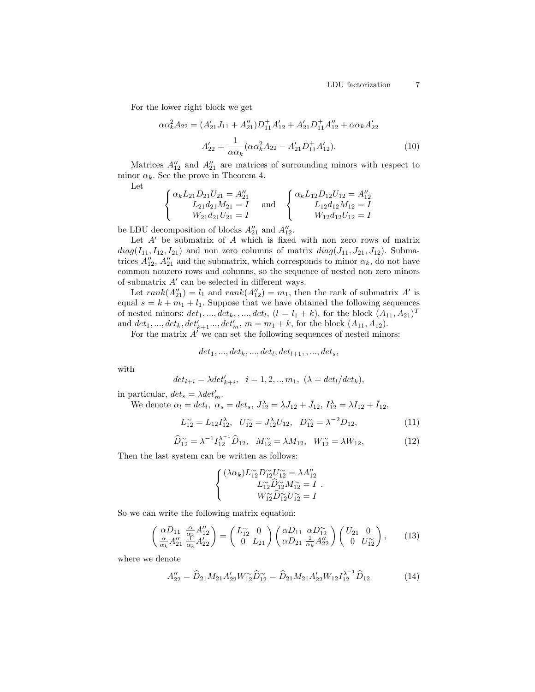For the lower right block we get

$$
\alpha \alpha_k^2 A_{22} = (A'_{21} J_{11} + A''_{21}) D_{11}^+ A'_{12} + A'_{21} D_{11}^+ A''_{12} + \alpha \alpha_k A'_{22}
$$
  

$$
A'_{22} = \frac{1}{\alpha \alpha_k} (\alpha \alpha_k^2 A_{22} - A'_{21} D_{11}^+ A'_{12}).
$$
 (10)

Matrices  $A_{12}''$  and  $A_{21}''$  are matrices of surrounding minors with respect to minor  $\alpha_k$ . See the prove in Theorem 4.

Let

$$
\begin{cases} \alpha_k L_{21} D_{21} U_{21} = A_{21}'' & \text{and} & \begin{cases} \alpha_k L_{12} D_{12} U_{12} = A_{12}'' \\ L_{21} d_{21} M_{21} = I \end{cases} & \text{and} & \begin{cases} \alpha_k L_{12} D_{12} U_{12} = A_{12}'' \\ L_{12} d_{12} M_{12} = I \end{cases} \\ W_{12} d_{12} U_{12} = I \end{cases}
$$

be LDU decomposition of blocks  $A_{21}^{\prime\prime}$  and  $A_{12}^{\prime\prime}$ .

Let  $A'$  be submatrix of  $A$  which is fixed with non zero rows of matrix  $diag(I_{11}, I_{12}, I_{21})$  and non zero columns of matrix  $diag(J_{11}, J_{21}, J_{12})$ . Submatrices  $A_{12}''$ ,  $A_{21}''$  and the submatrix, which corresponds to minor  $\alpha_k$ , do not have common nonzero rows and columns, so the sequence of nested non zero minors of submatrix  $A'$  can be selected in different ways.

Let  $rank(A_{21}'') = l_1$  and  $rank(A_{12}'') = m_1$ , then the rank of submatrix A' is equal  $s = k + m_1 + l_1$ . Suppose that we have obtained the following sequences of nested minors:  $det_1, ..., det_k, ..., det_l, (l = l_1 + k)$ , for the block  $(A_{11}, A_{21})^T$ and  $det_1, ..., det_k, det'_{k+1}..., det'_m, m = m_1 + k$ , for the block  $(A_{11}, A_{12})$ .

For the matrix  $A'$  we can set the following sequences of nested minors:

$$
det_1, ..., det_k, ..., det_l, det_{l+1}, ..., det_s,
$$

with

$$
det_{l+i} = \lambda det'_{k+i}, \quad i = 1, 2, ..., m_1, \ (\lambda = det_l / det_k),
$$

in particular,  $det_s = \lambda det_m'.$ 

We denote  $\alpha_l = det_l$ ,  $\alpha_s = det_s$ ,  $J_{12}^{\lambda} = \lambda J_{12} + \bar{J}_{12}$ ,  $I_{12}^{\lambda} = \lambda I_{12} + \bar{I}_{12}$ ,

$$
L_{12}^{\sim} = L_{12} I_{12}^{\lambda}, \quad U_{12}^{\sim} = J_{12}^{\lambda} U_{12}, \quad D_{12}^{\sim} = \lambda^{-2} D_{12}, \tag{11}
$$

$$
\widehat{D}_{12}^{\sim} = \lambda^{-1} I_{12}^{\lambda^{-1}} \widehat{D}_{12}, \quad M_{12}^{\sim} = \lambda M_{12}, \quad W_{12}^{\sim} = \lambda W_{12}, \tag{12}
$$

Then the last system can be written as follows:

$$
\begin{cases} (\lambda \alpha_k) L_{12}^{\sim} D_{12}^{\sim} U_{12}^{\sim} = \lambda A_{12}^{\prime\prime} \\ L_{12}^{\sim} \widehat{D}_{12}^{\sim} M_{12}^{\sim} = I \\ W_{12}^{\sim} \widehat{D}_{12}^{\sim} U_{12}^{\sim} = I \end{cases}.
$$

So we can write the following matrix equation:

$$
\begin{pmatrix}\n\alpha D_{11} & \frac{\alpha}{\alpha_k} A''_{12} \\
\frac{\alpha}{\alpha_k} A''_{21} & \frac{1}{\alpha_k} A'_{22}\n\end{pmatrix} = \begin{pmatrix} L_{12}^{\infty} & 0 \\
0 & L_{21} \end{pmatrix} \begin{pmatrix} \alpha D_{11} & \alpha D_{12}^{\infty} \\
\alpha D_{21} & \frac{1}{\alpha_k} A''_{22}\n\end{pmatrix} \begin{pmatrix} U_{21} & 0 \\
0 & U_{12}^{\infty} \end{pmatrix},\n\tag{13}
$$

where we denote

$$
A_{22}'' = \widehat{D}_{21} M_{21} A_{22}' W_{12}^{\sim} \widehat{D}_{12}^{\sim} = \widehat{D}_{21} M_{21} A_{22}' W_{12} I_{12}^{\lambda^{-1}} \widehat{D}_{12}
$$
(14)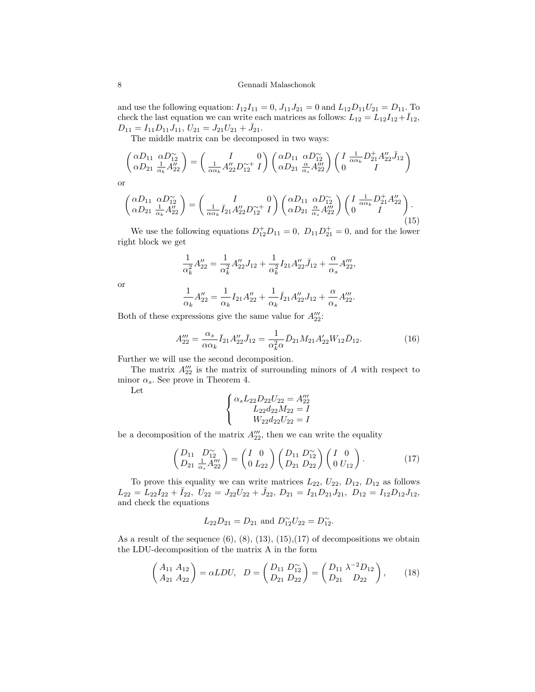#### 8 Gennadi Malaschonok

and use the following equation:  $I_{12}I_{11} = 0$ ,  $J_{11}J_{21} = 0$  and  $L_{12}D_{11}U_{21} = D_{11}$ . To check the last equation we can write each matrices as follows:  $L_{12} = L_{12}I_{12} + \overline{I}_{12}$ ,  $D_{11} = I_{11} D_{11} J_{11}$ ,  $U_{21} = J_{21} U_{21} + \bar{J}_{21}$ .

The middle matrix can be decomposed in two ways:

$$
\begin{pmatrix}\n\alpha D_{11} & \alpha D_{12}^{\sim} \\
\alpha D_{21} & \frac{1}{\alpha_k} A_{22}^{\prime\prime}\n\end{pmatrix} = \begin{pmatrix}\nI & 0 \\
\frac{1}{\alpha \alpha_k} A_{22}^{\prime\prime} D_{12}^{\sim +} I\n\end{pmatrix} \begin{pmatrix}\n\alpha D_{11} & \alpha D_{12}^{\sim} \\
\alpha D_{21} & \frac{\alpha}{\alpha_s} A_{22}^{\prime\prime\prime}\n\end{pmatrix} \begin{pmatrix}\nI & \frac{1}{\alpha \alpha_k} D_{21}^{+} A_{22}^{\prime\prime} \bar{J}_{12} \\
0 & I\n\end{pmatrix}
$$

or

$$
\begin{pmatrix}\n\alpha D_{11} & \alpha D_{12}^{\sim} \\
\alpha D_{21} & \frac{1}{\alpha_k} A_{22}^{\prime\prime}\n\end{pmatrix} = \begin{pmatrix}\nI & 0 \\
\frac{1}{\alpha \alpha_k} \bar{I}_{21} A_{22}^{\prime\prime} D_{12}^{\sim +} I\n\end{pmatrix} \begin{pmatrix}\n\alpha D_{11} & \alpha D_{12}^{\sim} \\
\alpha D_{21} & \frac{\alpha}{\alpha_s} A_{22}^{\prime\prime\prime}\n\end{pmatrix} \begin{pmatrix}\nI & \frac{1}{\alpha \alpha_k} D_{21}^{+} A_{22}^{\prime\prime} \\
0 & I\n\end{pmatrix}.
$$
\n(15)

We use the following equations  $D_{12}^+D_{11}=0$ ,  $D_{11}D_{21}^+=0$ , and for the lower right block we get

$$
\frac{1}{\alpha_k^2} A_{22}'' = \frac{1}{\alpha_k^2} A_{22}'' J_{12} + \frac{1}{\alpha_k^2} I_{21} A_{22}'' \bar{J}_{12} + \frac{\alpha}{\alpha_s} A_{22}'''
$$
  

$$
\frac{1}{\alpha_k^2} A_{12}'' - \frac{1}{\alpha_s} A_{22}'' J_{12} + \frac{1}{\bar{J}} A_{22}'' J_{12} + \frac{\alpha}{\alpha_s} A_{22}'''
$$

or

$$
\frac{1}{\alpha_k}A_{22}'' = \frac{1}{\alpha_k}I_{21}A_{22}'' + \frac{1}{\alpha_k}\bar{I}_{21}A_{22}''J_{12} + \frac{\alpha}{\alpha_s}A_{22}'''.
$$

Both of these expressions give the same value for  $A_{22}'''$ :

$$
A_{22}''' = \frac{\alpha_s}{\alpha \alpha_k} \bar{I}_{21} A_{22}'' \bar{J}_{12} = \frac{1}{\alpha_k^2 \alpha} \bar{D}_{21} M_{21} A_{22}' W_{12} \bar{D}_{12}.
$$
 (16)

Further we will use the second decomposition.

The matrix  $A_{22}^{\prime\prime\prime}$  is the matrix of surrounding minors of A with respect to minor  $\alpha_s$ . See prove in Theorem 4.

Let

$$
\begin{cases} \alpha_s L_{22} D_{22} U_{22} = A_{22}''' \\ L_{22} d_{22} M_{22} = I \\ W_{22} d_{22} U_{22} = I \end{cases}
$$

be a decomposition of the matrix  $A_{22}^{\prime\prime\prime}$ , then we can write the equality

$$
\begin{pmatrix}\nD_{11} & D_{12}^{\prime\prime} \\
D_{21} & \frac{1}{\alpha_s}A_{22}^{\prime\prime\prime}\n\end{pmatrix} = \begin{pmatrix}\nI & 0 \\
0 & L_{22}\n\end{pmatrix} \begin{pmatrix}\nD_{11} & D_{12}^{\prime\prime} \\
D_{21} & D_{22}\n\end{pmatrix} \begin{pmatrix}\nI & 0 \\
0 & U_{12}\n\end{pmatrix}.
$$
\n(17)

To prove this equality we can write matrices  $L_{22}$ ,  $U_{22}$ ,  $D_{12}$ ,  $D_{12}$  as follows  $L_{22} = L_{22}I_{22} + \bar{I}_{22}, U_{22} = J_{22}U_{22} + \bar{J}_{22}, D_{21} = I_{21}D_{21}J_{21}, D_{12} = I_{12}D_{12}J_{12},$ and check the equations

$$
L_{22}D_{21} = D_{21}
$$
 and  $D_{12}^{\sim}U_{22} = D_{12}^{\sim}$ .

As a result of the sequence  $(6)$ ,  $(8)$ ,  $(13)$ ,  $(15)$ ,  $(17)$  of decompositions we obtain the LDU-decomposition of the matrix A in the form

$$
\begin{pmatrix} A_{11} & A_{12} \\ A_{21} & A_{22} \end{pmatrix} = \alpha LDU, \quad D = \begin{pmatrix} D_{11} & D_{12}^{\sim} \\ D_{21} & D_{22} \end{pmatrix} = \begin{pmatrix} D_{11} & \lambda^{-2} D_{12} \\ D_{21} & D_{22} \end{pmatrix}, \tag{18}
$$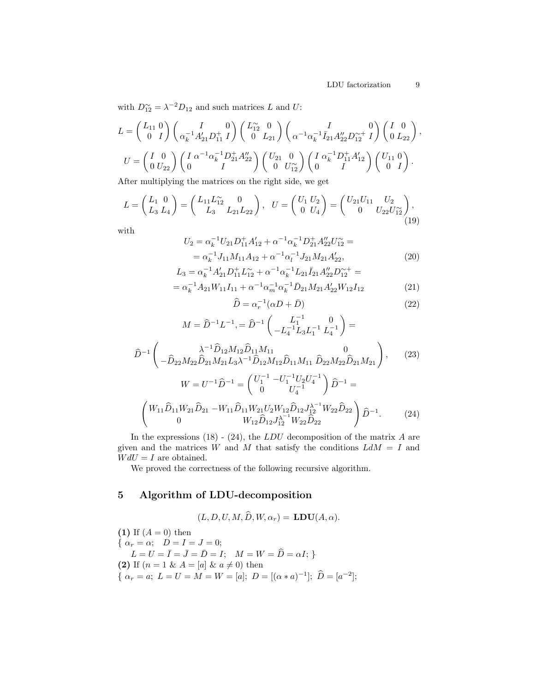, (23)

with  $D_{12}^{\sim} = \lambda^{-2} D_{12}$  and such matrices L and U:

$$
L = \begin{pmatrix} L_{11} & 0 \\ 0 & I \end{pmatrix} \begin{pmatrix} I & 0 \\ \alpha_k^{-1} A'_{21} D_{11}^+ I \end{pmatrix} \begin{pmatrix} L_{12}^\sim & 0 \\ 0 & L_{21} \end{pmatrix} \begin{pmatrix} I & 0 \\ \alpha^{-1} \alpha_k^{-1} \bar{I}_{21} A''_{22} D_{12}^{\sim +} I \end{pmatrix} \begin{pmatrix} I & 0 \\ 0 & L_{22} \end{pmatrix},
$$
  
\n
$$
U = \begin{pmatrix} I & 0 \\ 0 & U_{22} \end{pmatrix} \begin{pmatrix} I & \alpha^{-1} \alpha_k^{-1} D_{11}^+ A''_{22} \\ 0 & I \end{pmatrix} \begin{pmatrix} U_{21} & 0 \\ 0 & U_{12}^\sim \end{pmatrix} \begin{pmatrix} I & \alpha_k^{-1} D_{11}^+ A'_{12} \\ 0 & I \end{pmatrix} \begin{pmatrix} U_{11} & 0 \\ 0 & I \end{pmatrix}.
$$

After multiplying the matrices on the right side, we get

$$
L = \begin{pmatrix} L_1 & 0 \\ L_3 & L_4 \end{pmatrix} = \begin{pmatrix} L_{11}L_{12}^{\circ} & 0 \\ L_3 & L_{21}L_{22} \end{pmatrix}, \quad U = \begin{pmatrix} U_1 & U_2 \\ 0 & U_4 \end{pmatrix} = \begin{pmatrix} U_{21}U_{11} & U_2 \\ 0 & U_{22}U_{12}^{\circ} \end{pmatrix},
$$
\n(19)

with

 $\widehat{D}^{-1}$  $\sqrt{2}$ 

$$
U_2 = \alpha_k^{-1} U_{21} D_{11}^+ A_{12}' + \alpha^{-1} \alpha_k^{-1} D_{21}^+ A_{22}' U_{12}^- =
$$
  
=  $\alpha_k^{-1} J_{11} M_{11} A_{12} + \alpha^{-1} \alpha_l^{-1} J_{21} M_{21} A_{22}',$  (20)

$$
L_3 = \alpha_k^{-1} A'_{21} D_{11}^+ L_{12}^- + \alpha^{-1} \alpha_k^{-1} L_{21} \bar{I}_{21} A''_{22} D_{12}^{-+} =
$$
  
=  $\alpha_k^{-1} A_{21} W_{11} I_{11} + \alpha^{-1} \alpha_m^{-1} \alpha_k^{-1} \bar{D}_{21} M_{21} A'_{22} W_{12} I_{12}$  (21)

$$
\widehat{D} = \alpha_r^{-1} (\alpha D + \bar{D}) \tag{22}
$$

$$
M = \hat{D}^{-1}L^{-1} = \hat{D}^{-1}\begin{pmatrix} L_1^{-1} & 0 \\ -L_4^{-1}L_3L_1^{-1} & L_4^{-1} \end{pmatrix} =
$$
  

$$
\lambda^{-1}\hat{D}_{12}M_{12}\hat{D}_{11}M_{11} \qquad \qquad 0
$$
  

$$
-\hat{D}_{22}M_{22}\hat{D}_{21}M_{21}L_3\lambda^{-1}\hat{D}_{12}M_{12}\hat{D}_{11}M_{11}\hat{D}_{22}M_{22}\hat{D}_{21}M_{21} \end{pmatrix},
$$

$$
W = U^{-1} \hat{D}^{-1} = \begin{pmatrix} U_1^{-1} - U_1^{-1} U_2 U_4^{-1} \\ 0 & U_4^{-1} \end{pmatrix} \hat{D}^{-1} =
$$
  

$$
\begin{pmatrix} W_{11} \hat{D}_{11} W_{21} \hat{D}_{21} - W_{11} \hat{D}_{11} W_{21} U_2 W_{12} \hat{D}_{12} J_{12}^{\lambda^{-1}} W_{22} \hat{D}_{22} \\ 0 & W_{12} \hat{D}_{12} J_{12}^{\lambda^{-1}} W_{22} \hat{D}_{22} \end{pmatrix} \hat{D}^{-1}.
$$
 (24)

In the expressions  $(18)$  -  $(24)$ , the  $LDU$  decomposition of the matrix A are given and the matrices W and M that satisfy the conditions  $L dM = I$  and  $W dU = I$  are obtained.

We proved the correctness of the following recursive algorithm.

## 5 Algorithm of LDU-decomposition

$$
(L, D, U, M, \hat{D}, W, \alpha_r) = \mathbf{LDU}(A, \alpha).
$$

(1) If  $(A = 0)$  then {  $\alpha_r = \alpha$ ;  $D = I = J = 0$ ;  $L = U = \bar{I} = \bar{J} = \bar{D} = I;$   $M = W = \hat{D} = \alpha I;$ (2) If  $(n = 1 \& A = [a] \& a \neq 0)$  then {  $\alpha_r = a; L = U = M = W = [a]; D = [(\alpha * a)^{-1}]; \hat{D} = [a^{-2}];$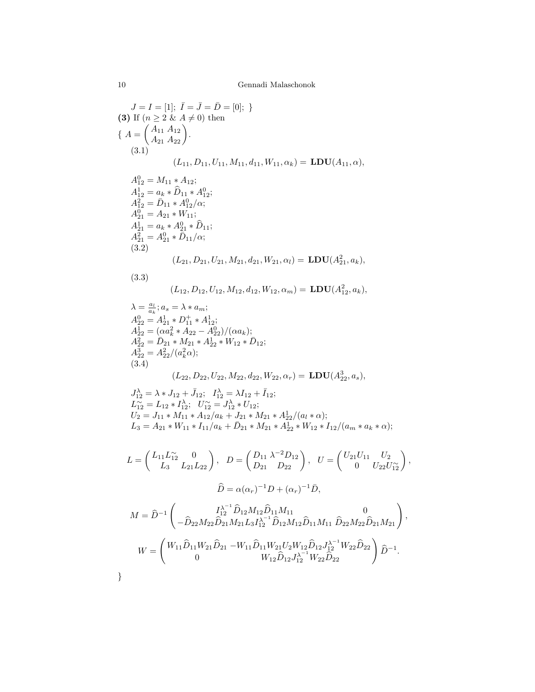$$
J = I = [1]; I = J = D = [0];
$$
  
\n**(3)** If  $(n \ge 2$  &  $A \ne 0$ ) then  
\n
$$
\{A = \begin{pmatrix} A_{11} & A_{12} \\ A_{21} & A_{22} \end{pmatrix}.
$$
  
\n(3.1)  
\n
$$
(L_{11}, D_{11}, U_{11}, M_{11}, d_{11}, W_{11}, \alpha_k) = \mathbf{LDU}(A_{11}, \alpha),
$$
  
\n
$$
A_{12}^0 = M_{11} * A_{12};
$$
  
\n
$$
A_{12}^1 = a_k * \hat{D}_{11} * A_{12}^0;
$$
  
\n
$$
A_{21}^2 = A_{21} * W_{11};
$$
  
\n
$$
A_{21}^1 = a_k * A_{21}^0 * \hat{D}_{11};
$$
  
\n
$$
A_{21}^2 = A_{21} * W_{11};
$$
  
\n
$$
A_{21}^2 = A_{21} * W_{11};
$$
  
\n
$$
A_{21}^2 = A_{21} * D_{11}/\alpha;
$$
  
\n(3.2)  
\n
$$
(L_{12}, D_{12}, U_{12}, M_{21}, d_{21}, W_{21}, \alpha_l) = \mathbf{LDU}(A_{21}^2, a_k),
$$
  
\n(3.3)  
\n
$$
(L_{12}, D_{12}, U_{12}, M_{12}, d_{12}, W_{12}, \alpha_m) = \mathbf{LDU}(A_{12}^2, a_k),
$$
  
\n
$$
\lambda = \frac{a_i}{a_k}; a_s = \lambda * a_m;
$$
  
\n
$$
A_{22}^0 = A_{21}^1 * D_{11}^1 * A_{12}^1;
$$
  
\n
$$
A_{22}^1 = \hat{D}_{21} * M_{21} * A_{22}^1 * \hat{M}_{22} * \hat{M}_{22};
$$
  
\n
$$
A_{22}^2 = \hat{D}_{21} * M_{21} * A_{22}^1 * \hat{M}_{22} * \hat{M}_{22};
$$
  
\n
$$
A_{2
$$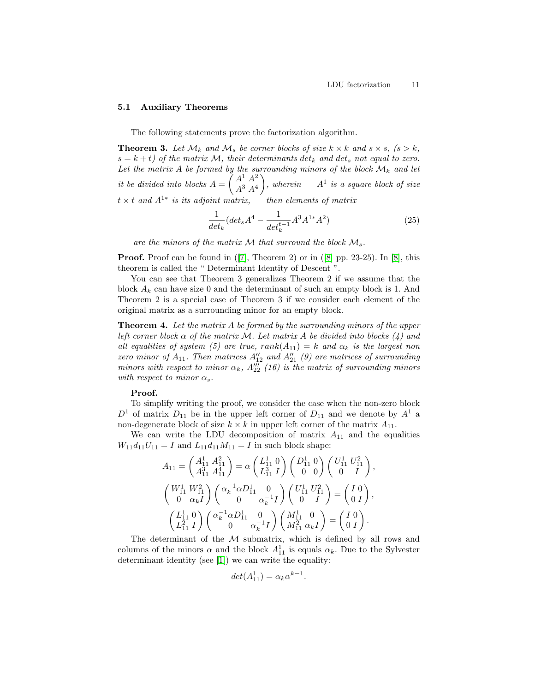#### 5.1 Auxiliary Theorems

The following statements prove the factorization algorithm.

**Theorem 3.** Let  $\mathcal{M}_k$  and  $\mathcal{M}_s$  be corner blocks of size  $k \times k$  and  $s \times s$ ,  $(s > k$ ,  $s = k + t$ ) of the matrix M, their determinants det<sub>k</sub> and det<sub>s</sub> not equal to zero. Let the matrix A be formed by the surrounding minors of the block  $\mathcal{M}_k$  and let it be divided into blocks  $A = \begin{pmatrix} A^1 & A^2 \\ A^3 & A^4 \end{pmatrix}$  $A^3$   $A^4$ ), wherein  $A^1$  is a square block of size  $t \times t$  and  $A^{1*}$  is its adjoint matrix, then elements of matrix

$$
\frac{1}{\det_k}(\det_s A^4 - \frac{1}{\det_k^{t-1}} A^3 A^{1*} A^2)
$$
\n(25)

are the minors of the matrix  $\mathcal M$  that surround the block  $\mathcal M_s$ .

**Proof.** Proof can be found in  $([7],$  $([7],$  $([7],$  Theorem 2) or in  $([8]$  $([8]$  pp. 23-25). In  $[8]$ , this theorem is called the " Determinant Identity of Descent ".

You can see that Theorem 3 generalizes Theorem 2 if we assume that the block  $A_k$  can have size 0 and the determinant of such an empty block is 1. And Theorem 2 is a special case of Theorem 3 if we consider each element of the original matrix as a surrounding minor for an empty block.

Theorem 4. Let the matrix A be formed by the surrounding minors of the upper left corner block  $\alpha$  of the matrix M. Let matrix A be divided into blocks (4) and all equalities of system (5) are true,  $rank(A_{11}) = k$  and  $\alpha_k$  is the largest non zero minor of  $A_{11}$ . Then matrices  $A_{12}''$  and  $A_{21}''$  (9) are matrices of surrounding minors with respect to minor  $\alpha_k$ ,  $A_{22}^{\prime\prime\prime}$  (16) is the matrix of surrounding minors with respect to minor  $\alpha_s$ .

#### Proof.

To simplify writing the proof, we consider the case when the non-zero block  $D^1$  of matrix  $D_{11}$  be in the upper left corner of  $D_{11}$  and we denote by  $A^1$  a non-degenerate block of size  $k \times k$  in upper left corner of the matrix  $A_{11}$ .

We can write the LDU decomposition of matrix  $A_{11}$  and the equalities  $W_{11}d_{11}U_{11} = I$  and  $L_{11}d_{11}M_{11} = I$  in such block shape:

$$
A_{11} = \begin{pmatrix} A_{11}^1 & A_{11}^2 \\ A_{11}^3 & A_{11}^4 \end{pmatrix} = \alpha \begin{pmatrix} L_{11}^1 & 0 \\ L_{11}^3 & I \end{pmatrix} \begin{pmatrix} D_{11}^1 & 0 \\ 0 & 0 \end{pmatrix} \begin{pmatrix} U_{11}^1 & U_{11}^2 \\ 0 & I \end{pmatrix},
$$
  
\n
$$
\begin{pmatrix} W_{11}^1 & W_{11}^2 \\ 0 & \alpha_k I \end{pmatrix} \begin{pmatrix} \alpha_k^{-1} \alpha D_{11}^1 & 0 \\ 0 & \alpha_k^{-1} I \end{pmatrix} \begin{pmatrix} U_{11}^1 & U_{11}^2 \\ 0 & I \end{pmatrix} = \begin{pmatrix} I & 0 \\ 0 & I \end{pmatrix},
$$
  
\n
$$
\begin{pmatrix} L_{11}^1 & 0 \\ L_{11}^2 & I \end{pmatrix} \begin{pmatrix} \alpha_k^{-1} \alpha D_{11}^1 & 0 \\ 0 & \alpha_k^{-1} I \end{pmatrix} \begin{pmatrix} M_{11}^1 & 0 \\ M_{11}^2 & \alpha_k I \end{pmatrix} = \begin{pmatrix} I & 0 \\ 0 & I \end{pmatrix}.
$$

The determinant of the  $M$  submatrix, which is defined by all rows and columns of the minors  $\alpha$  and the block  $A_{11}^1$  is equals  $\alpha_k$ . Due to the Sylvester determinant identity (see [\[1\]](#page-14-0)) we can write the equality:

$$
det(A_{11}^1) = \alpha_k \alpha^{k-1}.
$$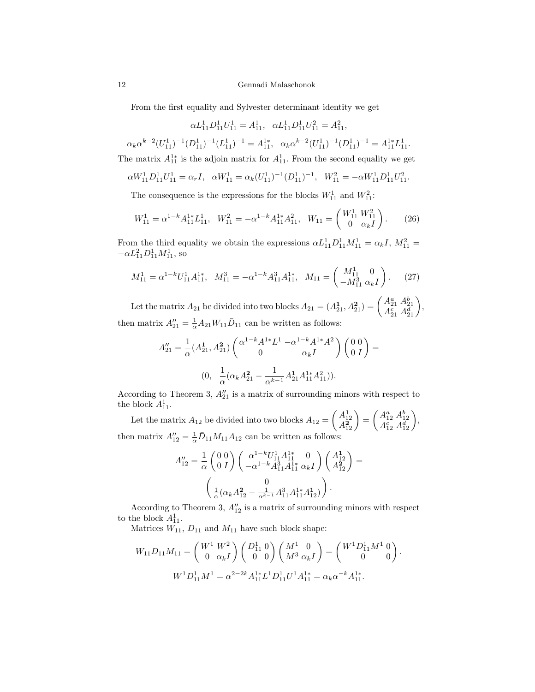12 Gennadi Malaschonok

From the first equality and Sylvester determinant identity we get

$$
\alpha L_{11}^1 D_{11}^1 U_{11}^1 = A_{11}^1, \ \alpha L_{11}^1 D_{11}^1 U_{11}^2 = A_{11}^2,
$$

 $\alpha_k \alpha^{k-2} (U_{11}^1)^{-1} (D_{11}^1)^{-1} (L_{11}^1)^{-1} = A_{11}^{1*}, \quad \alpha_k \alpha^{k-2} (U_{11}^1)^{-1} (D_{11}^1)^{-1} = A_{11}^{1*} L_{11}^1.$ 

The matrix 
$$
A_{11}^{1*}
$$
 is the adjoin matrix for  $A_{11}^1$ . From the second equality we get

$$
\alpha W_{11}^1 D_{11}^1 U_{11}^1 = \alpha_r I, \ \alpha W_{11}^1 = \alpha_k (U_{11}^1)^{-1} (D_{11}^1)^{-1}, \ W_{11}^2 = -\alpha W_{11}^1 D_{11}^1 U_{11}^2.
$$

The consequence is the expressions for the blocks  $W_{11}^1$  and  $W_{11}^2$ :

$$
W_{11}^1 = \alpha^{1-k} A_{11}^{1*} L_{11}^1, \quad W_{11}^2 = -\alpha^{1-k} A_{11}^{1*} A_{11}^2, \quad W_{11} = \begin{pmatrix} W_{11}^1 & W_{11}^2 \\ 0 & \alpha_k I \end{pmatrix}.
$$
 (26)

From the third equality we obtain the expressions  $\alpha L_{11}^1 D_{11}^1 M_{11}^1 = \alpha_k I$ ,  $M_{11}^2 =$  $-\alpha L_{11}^2 D_{11}^1 M_{11}^1$ , so

$$
M_{11}^1 = \alpha^{1-k} U_{11}^1 A_{11}^{1*}, \quad M_{11}^3 = -\alpha^{1-k} A_{11}^3 A_{11}^{1*}, \quad M_{11} = \begin{pmatrix} M_{11}^1 & 0 \\ -M_{11}^3 & \alpha_k I \end{pmatrix}.
$$
 (27)

Let the matrix  $A_{21}$  be divided into two blocks  $A_{21} = (A_{21}^1, A_{21}^2) = \begin{pmatrix} A_{21}^a & A_{21}^b \\ A_{21}^c & A_{21}^d \end{pmatrix}$ , then matrix  $A_{21}'' = \frac{1}{\alpha} A_{21} W_{11} \bar{D}_{11}$  can be written as follows:

$$
A_{21}'' = \frac{1}{\alpha} (A_{21}^1, A_{21}^2) \begin{pmatrix} \alpha^{1-k} A^{1*} L^1 - \alpha^{1-k} A^{1*} A^2 \\ 0 & \alpha_k I \end{pmatrix} \begin{pmatrix} 0 & 0 \\ 0 & I \end{pmatrix} =
$$
  
(0,  $\frac{1}{\alpha} (\alpha_k A_{21}^2 - \frac{1}{\alpha^{k-1}} A_{21}^1 A_{11}^{1*} A_{11}^2)).$ 

According to Theorem 3,  $A_{21}^{\prime\prime}$  is a matrix of surrounding minors with respect to the block  $A_{11}^1$ .

Let the matrix  $A_{12}$  be divided into two blocks  $A_{12} = \begin{pmatrix} A_{12}^1 \\ A_{12}^2 \end{pmatrix} = \begin{pmatrix} A_{12}^a & A_{12}^b \\ A_{12}^c & A_{12}^d \end{pmatrix}$ , then matrix  $A_{12}'' = \frac{1}{\alpha} \bar{D}_{11} M_{11} A_{12}$  can be written as follows:

$$
A_{12}'' = \frac{1}{\alpha} \begin{pmatrix} 0 & 0 \\ 0 & I \end{pmatrix} \begin{pmatrix} \alpha^{1-k} U_{11}^1 A_{11}^{1*} & 0 \\ -\alpha^{1-k} A_{11}^3 A_{11}^{1*} & \alpha_k I \end{pmatrix} \begin{pmatrix} A_{12}^1 \\ A_{12}^2 \end{pmatrix} = \begin{pmatrix} 0 \\ \frac{1}{\alpha} (\alpha_k A_{12}^2 - \frac{1}{\alpha^{k-1}} A_{11}^3 A_{11}^{1*} A_{12}^1) \end{pmatrix}.
$$

According to Theorem 3,  $A_{12}''$  is a matrix of surrounding minors with respect to the block  $A_{11}^1$ .

Matrices  $W_{11}$ ,  $D_{11}$  and  $M_{11}$  have such block shape:

$$
W_{11}D_{11}M_{11} = \begin{pmatrix} W^1 & W^2 \\ 0 & \alpha_k I \end{pmatrix} \begin{pmatrix} D_{11}^1 & 0 \\ 0 & 0 \end{pmatrix} \begin{pmatrix} M^1 & 0 \\ M^3 & \alpha_k I \end{pmatrix} = \begin{pmatrix} W^1 D_{11}^1 M^1 & 0 \\ 0 & 0 \end{pmatrix}.
$$

$$
W^1 D_{11}^1 M^1 = \alpha^{2-2k} A_{11}^{1*} L^1 D_{11}^1 U^1 A_{11}^{1*} = \alpha_k \alpha^{-k} A_{11}^{1*}.
$$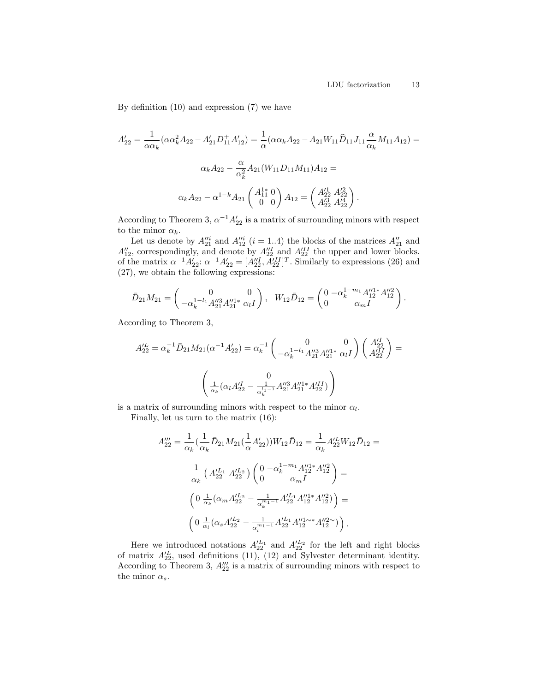By definition (10) and expression (7) we have

$$
A'_{22} = \frac{1}{\alpha \alpha_k} (\alpha \alpha_k^2 A_{22} - A'_{21} D_{11}^+ A'_{12}) = \frac{1}{\alpha} (\alpha \alpha_k A_{22} - A_{21} W_{11} \hat{D}_{11} J_{11} \frac{\alpha}{\alpha_k} M_{11} A_{12}) =
$$
  

$$
\alpha_k A_{22} - \frac{\alpha}{\alpha_k^2} A_{21} (W_{11} D_{11} M_{11}) A_{12} =
$$
  

$$
\alpha_k A_{22} - \alpha^{1-k} A_{21} \begin{pmatrix} A_{11}^{1*} & 0 \\ 0 & 0 \end{pmatrix} A_{12} = \begin{pmatrix} A_{22}'^{1} & A_{22}'^{2} \\ A_{22}'^{3} & A_{22}'^{4} \end{pmatrix}.
$$

According to Theorem 3,  $\alpha^{-1} A_{22}'$  is a matrix of surrounding minors with respect to the minor  $\alpha_k$ .

Let us denote by  $A_{21}^{\prime\prime i}$  and  $A_{12}^{\prime\prime i}$  (*i* = 1..4) the blocks of the matrices  $A_{21}^{\prime\prime}$  and  $A_{12}''$ , correspondingly, and denote by  $A_{22}''^I$  and  $A_{22}^{III}$  the upper and lower blocks. of the matrix  $\alpha^{-1} A'_{22}$ :  $\alpha^{-1} A'_{22} = [A''_{22}, A'^{II}_{22}]^T$ . Similarly to expressions (26) and (27), we obtain the following expressions:

$$
\bar{D}_{21}M_{21} = \begin{pmatrix} 0 & 0 \\ -\alpha_k^{1-l_1} A_{21}^{\prime\prime 3} A_{21}^{\prime\prime 1*} & \alpha_l I \end{pmatrix}, \ \ W_{12}\bar{D}_{12} = \begin{pmatrix} 0 & -\alpha_k^{1-m_1} A_{12}^{\prime\prime 1*} A_{12}^{\prime\prime 2} \\ 0 & \alpha_m I \end{pmatrix}.
$$

According to Theorem 3,

$$
A_{22}^{\prime L} = \alpha_k^{-1} \bar{D}_{21} M_{21} (\alpha^{-1} A_{22}^{\prime}) = \alpha_k^{-1} \begin{pmatrix} 0 & 0 \\ -\alpha_k^{1-l_1} A_{21}^{\prime\prime 3} A_{21}^{\prime\prime 1*} & \alpha_l I \end{pmatrix} \begin{pmatrix} A_{22}^{\prime I} \\ A_{22}^{\prime I} \end{pmatrix} = \begin{pmatrix} 0 & 0 \\ \frac{1}{\alpha_k} (\alpha_l A_{22}^{\prime I} - \frac{1}{\alpha_k^{l_1-1}} A_{21}^{\prime\prime 3} A_{21}^{\prime I*} A_{22}^{\prime I}) \end{pmatrix}
$$

is a matrix of surrounding minors with respect to the minor  $\alpha_l$ .

Finally, let us turn to the matrix (16):

$$
A_{22}''' = \frac{1}{\alpha_k} \left( \frac{1}{\alpha_k} \bar{D}_{21} M_{21} \left( \frac{1}{\alpha} A_{22}' \right) \right) W_{12} \bar{D}_{12} = \frac{1}{\alpha_k} A_{22}^{\prime L} W_{12} \bar{D}_{12} =
$$
  

$$
\frac{1}{\alpha_k} \left( A_{22}^{\prime L_1} A_{22}^{\prime L_2} \right) \left( \begin{array}{cc} 0 & -\alpha_k^{1-m_1} A_{12}^{\prime \prime 1*} A_{12}^{\prime \prime 2} \\ 0 & \alpha_m I \end{array} \right) =
$$
  

$$
\left( 0 & \frac{1}{\alpha_k} (\alpha_m A_{22}^{\prime L_2} - \frac{1}{\alpha_k^{m_1 - 1}} A_{22}^{\prime L_1} A_{12}^{\prime \prime 1*} A_{12}^{\prime \prime 2}) \right) =
$$
  

$$
\left( 0 & \frac{1}{\alpha_l} (\alpha_s A_{22}^{\prime L_2} - \frac{1}{\alpha_l^{m_1 - 1}} A_{22}^{\prime L_1} A_{12}^{\prime \prime 1 \sim *} A_{12}^{\prime \prime 2 \sim}) \right).
$$

Here we introduced notations  $A_{22}^{L_1}$  and  $A_{22}^{L_2}$  for the left and right blocks of matrix  $A_{22}^{\prime L}$ , used definitions (11), (12) and Sylvester determinant identity. According to Theorem 3,  $A_{22}'''$  is a matrix of surrounding minors with respect to the minor  $\alpha_s$ .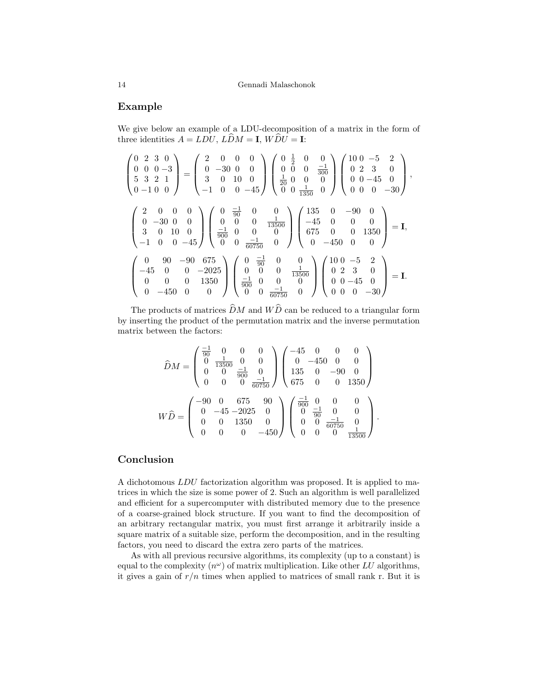## Example

We give below an example of a LDU-decomposition of a matrix in the form of three identities  $A = LDU$ ,  $L\widehat{D}M = I$ ,  $W\widehat{D}U = I$ :

$$
\begin{pmatrix}\n0 & 2 & 3 & 0 \\
0 & 0 & 0 & -3 \\
5 & 3 & 2 & 1 \\
0 & -1 & 0 & 0\n\end{pmatrix} = \begin{pmatrix}\n2 & 0 & 0 & 0 \\
0 & -30 & 0 & 0 \\
3 & 0 & 10 & 0 \\
-1 & 0 & 0 & -45\n\end{pmatrix} \begin{pmatrix}\n0 & \frac{1}{2} & 0 & 0 \\
0 & 0 & 0 & \frac{-1}{300} \\
\frac{1}{20} & 0 & 0 & 0 \\
0 & 0 & \frac{1}{1350} & 0\n\end{pmatrix} \begin{pmatrix}\n10 & 0 & -5 & 2 \\
0 & 2 & 3 & 0 \\
0 & 0 & -45 & 0 \\
0 & 0 & 0 & -30\n\end{pmatrix},
$$
\n
$$
\begin{pmatrix}\n2 & 0 & 0 & 0 \\
0 & -30 & 0 & 0 \\
3 & 0 & 10 & 0 \\
-1 & 0 & 0 & -45\n\end{pmatrix} \begin{pmatrix}\n0 & \frac{-1}{90} & 0 & 0 \\
0 & 0 & 0 & \frac{1}{13500} \\
\frac{-1}{900} & 0 & 0 & 0 \\
0 & 0 & \frac{-1}{60750} & 0\n\end{pmatrix} \begin{pmatrix}\n135 & 0 & -90 & 0 \\
-45 & 0 & 0 & 0 \\
0 & -450 & 0 & 0\n\end{pmatrix} = I,
$$
\n
$$
\begin{pmatrix}\n0 & 90 & -90 & 675 \\
-45 & 0 & 0 & -2025 \\
0 & 0 & 0 & 1350 \\
0 & -450 & 0 & 0\n\end{pmatrix} \begin{pmatrix}\n0 & \frac{-1}{90} & 0 & 0 \\
0 & 0 & 0 & \frac{1}{13500} \\
\frac{-1}{900} & 0 & 0 & 0 \\
0 & 0 & \frac{-1}{60750} & 0\n\end{pmatrix} \begin{pmatrix}\n10 & 0 & -5 & 2 \\
0 & 2 & 3 & 0 \\
0 & 2 & 3 & 0 \\
0 & 0 & -45 & 0 \\
0 & 0 & 0 & -30\n\end{pmatrix} = I.
$$

The products of matrices  $\widehat{D}M$  and  $W\widehat{D}$  can be reduced to a triangular form by inserting the product of the permutation matrix and the inverse permutation matrix between the factors:

$$
\widehat{D}M = \begin{pmatrix}\n\frac{-1}{90} & 0 & 0 & 0 \\
0 & \frac{1}{13500} & 0 & 0 \\
0 & 0 & \frac{-1}{900} & 0 \\
0 & 0 & 0 & \frac{-1}{60750}\n\end{pmatrix}\n\begin{pmatrix}\n-45 & 0 & 0 & 0 \\
0 & -450 & 0 & 0 \\
135 & 0 & -90 & 0 \\
675 & 0 & 0 & 1350\n\end{pmatrix}
$$
\n
$$
W\widehat{D} = \begin{pmatrix}\n-90 & 0 & 675 & 90 \\
0 & -45 & -2025 & 0 \\
0 & 0 & 1350 & 0 \\
0 & 0 & 0 & -450\n\end{pmatrix}\n\begin{pmatrix}\n\frac{-1}{900} & 0 & 0 & 0 \\
0 & \frac{-1}{90} & 0 & 0 \\
0 & 0 & \frac{-1}{60750} & 0 \\
0 & 0 & 0 & \frac{1}{13500}\n\end{pmatrix}.
$$

## Conclusion

A dichotomous LDU factorization algorithm was proposed. It is applied to matrices in which the size is some power of 2. Such an algorithm is well parallelized and efficient for a supercomputer with distributed memory due to the presence of a coarse-grained block structure. If you want to find the decomposition of an arbitrary rectangular matrix, you must first arrange it arbitrarily inside a square matrix of a suitable size, perform the decomposition, and in the resulting factors, you need to discard the extra zero parts of the matrices.

As with all previous recursive algorithms, its complexity (up to a constant) is equal to the complexity  $(n^{\omega})$  of matrix multiplication. Like other LU algorithms, it gives a gain of  $r/n$  times when applied to matrices of small rank r. But it is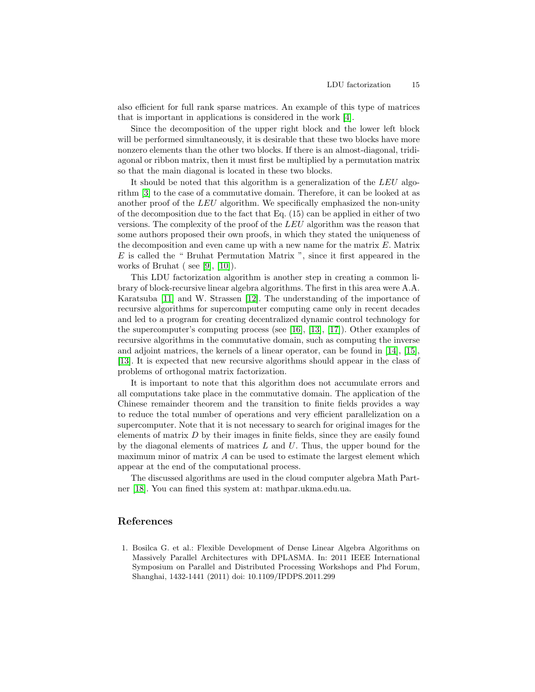also efficient for full rank sparse matrices. An example of this type of matrices that is important in applications is considered in the work [\[4\]](#page-15-6).

Since the decomposition of the upper right block and the lower left block will be performed simultaneously, it is desirable that these two blocks have more nonzero elements than the other two blocks. If there is an almost-diagonal, tridiagonal or ribbon matrix, then it must first be multiplied by a permutation matrix so that the main diagonal is located in these two blocks.

It should be noted that this algorithm is a generalization of the LEU algorithm [\[3\]](#page-15-1) to the case of a commutative domain. Therefore, it can be looked at as another proof of the LEU algorithm. We specifically emphasized the non-unity of the decomposition due to the fact that Eq.  $(15)$  can be applied in either of two versions. The complexity of the proof of the LEU algorithm was the reason that some authors proposed their own proofs, in which they stated the uniqueness of the decomposition and even came up with a new name for the matrix  $E$ . Matrix E is called the " Bruhat Permutation Matrix ", since it first appeared in the works of Bruhat ( see [\[9\]](#page-15-7), [\[10\]](#page-15-8)).

This LDU factorization algorithm is another step in creating a common library of block-recursive linear algebra algorithms. The first in this area were A.A. Karatsuba [\[11\]](#page-15-9) and W. Strassen [\[12\]](#page-15-10). The understanding of the importance of recursive algorithms for supercomputer computing came only in recent decades and led to a program for creating decentralized dynamic control technology for the supercomputer's computing process (see [\[16\]](#page-15-11), [\[13\]](#page-15-12), [\[17\]](#page-15-13)). Other examples of recursive algorithms in the commutative domain, such as computing the inverse and adjoint matrices, the kernels of a linear operator, can be found in [\[14\]](#page-15-14), [\[15\]](#page-15-15), [\[13\]](#page-15-12). It is expected that new recursive algorithms should appear in the class of problems of orthogonal matrix factorization.

It is important to note that this algorithm does not accumulate errors and all computations take place in the commutative domain. The application of the Chinese remainder theorem and the transition to finite fields provides a way to reduce the total number of operations and very efficient parallelization on a supercomputer. Note that it is not necessary to search for original images for the elements of matrix  $D$  by their images in finite fields, since they are easily found by the diagonal elements of matrices  $L$  and  $U$ . Thus, the upper bound for the maximum minor of matrix  $A$  can be used to estimate the largest element which appear at the end of the computational process.

The discussed algorithms are used in the cloud computer algebra Math Partner [\[18\]](#page-15-16). You can fined this system at: mathpar.ukma.edu.ua.

## References

<span id="page-14-0"></span>1. Bosilca G. et al.: Flexible Development of Dense Linear Algebra Algorithms on Massively Parallel Architectures with DPLASMA. In: 2011 IEEE International Symposium on Parallel and Distributed Processing Workshops and Phd Forum, Shanghai, 1432-1441 (2011) doi: 10.1109/IPDPS.2011.299